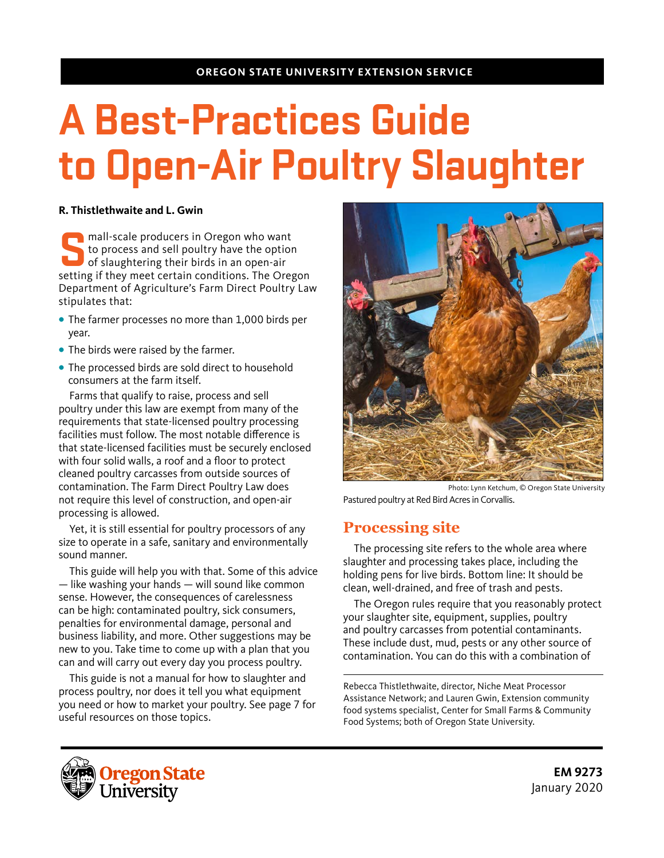#### **OREGON STATE UNIVERSITY EXTENSION SERVICE**

# **A Best-Practices Guide to Open-Air Poultry Slaughter**

#### **R. Thistlethwaite and L. Gwin**

**Solution 1991** mall-scale producers in Oregon who want<br>to process and sell poultry have the option<br>of slaughtering their birds in an open-air<br>setting if they meet certain conditions. The Oregon to process and sell poultry have the option of slaughtering their birds in an open-air setting if they meet certain conditions. The Oregon Department of Agriculture's Farm Direct Poultry Law stipulates that:

- **•** The farmer processes no more than 1,000 birds per year.
- **•** The birds were raised by the farmer.
- **•** The processed birds are sold direct to household consumers at the farm itself.

Farms that qualify to raise, process and sell poultry under this law are exempt from many of the requirements that state-licensed poultry processing facilities must follow. The most notable difference is that state-licensed facilities must be securely enclosed with four solid walls, a roof and a floor to protect cleaned poultry carcasses from outside sources of contamination. The Farm Direct Poultry Law does not require this level of construction, and open-air processing is allowed.

Yet, it is still essential for poultry processors of any size to operate in a safe, sanitary and environmentally sound manner.

This guide will help you with that. Some of this advice — like washing your hands — will sound like common sense. However, the consequences of carelessness can be high: contaminated poultry, sick consumers, penalties for environmental damage, personal and business liability, and more. Other suggestions may be new to you. Take time to come up with a plan that you can and will carry out every day you process poultry.

This guide is not a manual for how to slaughter and process poultry, nor does it tell you what equipment you need or how to market your poultry. See page 7 for useful resources on those topics.



Photo: Lynn Ketchum, © Oregon State University Pastured poultry at Red Bird Acres in Corvallis.

# **Processing site**

The processing site refers to the whole area where slaughter and processing takes place, including the holding pens for live birds. Bottom line: It should be clean, well-drained, and free of trash and pests.

The Oregon rules require that you reasonably protect your slaughter site, equipment, supplies, poultry and poultry carcasses from potential contaminants. These include dust, mud, pests or any other source of contamination. You can do this with a combination of

Rebecca Thistlethwaite, director, Niche Meat Processor Assistance Network; and Lauren Gwin, Extension community food systems specialist, Center for Small Farms & Community Food Systems; both of Oregon State University.

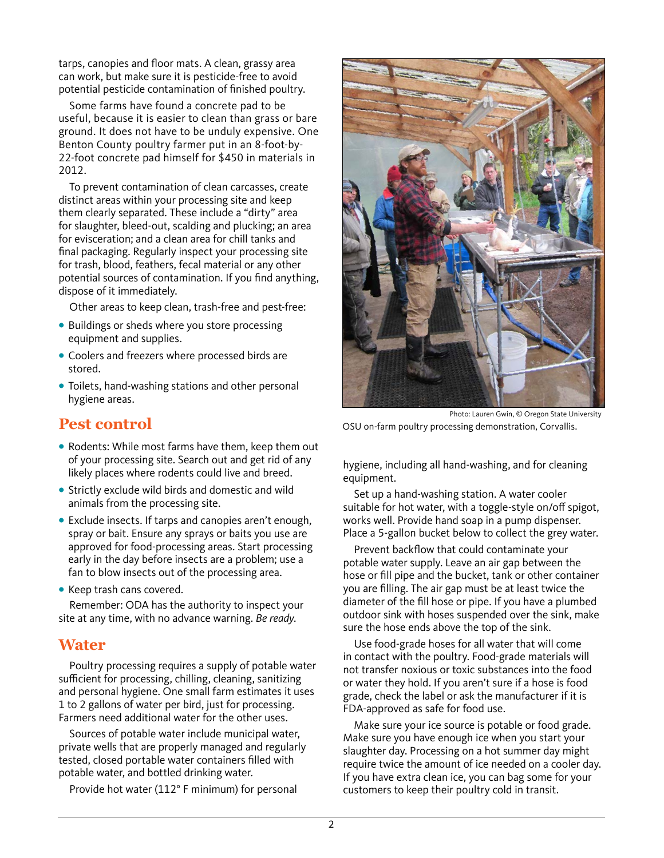tarps, canopies and floor mats. A clean, grassy area can work, but make sure it is pesticide-free to avoid potential pesticide contamination of finished poultry.

Some farms have found a concrete pad to be useful, because it is easier to clean than grass or bare ground. It does not have to be unduly expensive. One Benton County poultry farmer put in an 8-foot-by-22-foot concrete pad himself for \$450 in materials in 2012.

To prevent contamination of clean carcasses, create distinct areas within your processing site and keep them clearly separated. These include a "dirty" area for slaughter, bleed-out, scalding and plucking; an area for evisceration; and a clean area for chill tanks and final packaging. Regularly inspect your processing site for trash, blood, feathers, fecal material or any other potential sources of contamination. If you find anything, dispose of it immediately.

Other areas to keep clean, trash-free and pest-free:

- **•** Buildings or sheds where you store processing equipment and supplies.
- **•** Coolers and freezers where processed birds are stored.
- **•** Toilets, hand-washing stations and other personal hygiene areas.

## **Pest control**

- **•** Rodents: While most farms have them, keep them out of your processing site. Search out and get rid of any likely places where rodents could live and breed.
- **•** Strictly exclude wild birds and domestic and wild animals from the processing site.
- **•** Exclude insects. If tarps and canopies aren't enough, spray or bait. Ensure any sprays or baits you use are approved for food-processing areas. Start processing early in the day before insects are a problem; use a fan to blow insects out of the processing area.
- **•** Keep trash cans covered.

Remember: ODA has the authority to inspect your site at any time, with no advance warning. *Be ready*.

## **Water**

Poultry processing requires a supply of potable water sufficient for processing, chilling, cleaning, sanitizing and personal hygiene. One small farm estimates it uses 1 to 2 gallons of water per bird, just for processing. Farmers need additional water for the other uses.

Sources of potable water include municipal water, private wells that are properly managed and regularly tested, closed portable water containers filled with potable water, and bottled drinking water.

Provide hot water (112° F minimum) for personal



Photo: Lauren Gwin, © Oregon State University OSU on-farm poultry processing demonstration, Corvallis.

hygiene, including all hand-washing, and for cleaning equipment.

Set up a hand-washing station. A water cooler suitable for hot water, with a toggle-style on/off spigot, works well. Provide hand soap in a pump dispenser. Place a 5-gallon bucket below to collect the grey water.

Prevent backflow that could contaminate your potable water supply. Leave an air gap between the hose or fill pipe and the bucket, tank or other container you are filling. The air gap must be at least twice the diameter of the fill hose or pipe. If you have a plumbed outdoor sink with hoses suspended over the sink, make sure the hose ends above the top of the sink.

Use food-grade hoses for all water that will come in contact with the poultry. Food-grade materials will not transfer noxious or toxic substances into the food or water they hold. If you aren't sure if a hose is food grade, check the label or ask the manufacturer if it is FDA-approved as safe for food use.

Make sure your ice source is potable or food grade. Make sure you have enough ice when you start your slaughter day. Processing on a hot summer day might require twice the amount of ice needed on a cooler day. If you have extra clean ice, you can bag some for your customers to keep their poultry cold in transit.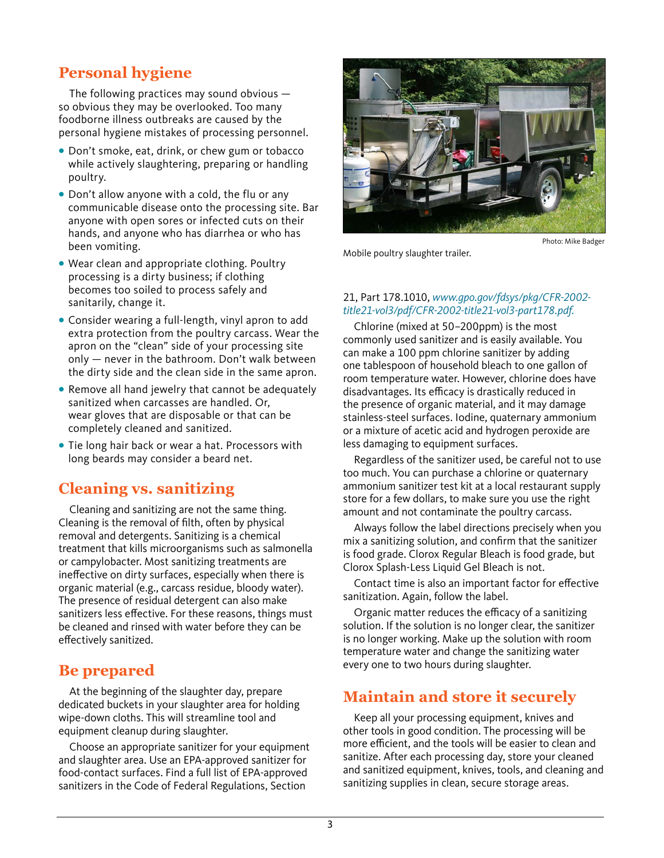# **Personal hygiene**

The following practices may sound obvious so obvious they may be overlooked. Too many foodborne illness outbreaks are caused by the personal hygiene mistakes of processing personnel.

- **•** Don't smoke, eat, drink, or chew gum or tobacco while actively slaughtering, preparing or handling poultry.
- **•** Don't allow anyone with a cold, the flu or any communicable disease onto the processing site. Bar anyone with open sores or infected cuts on their hands, and anyone who has diarrhea or who has been vomiting.
- **•** Wear clean and appropriate clothing. Poultry processing is a dirty business; if clothing becomes too soiled to process safely and sanitarily, change it.
- **•** Consider wearing a full-length, vinyl apron to add extra protection from the poultry carcass. Wear the apron on the "clean" side of your processing site only — never in the bathroom. Don't walk between the dirty side and the clean side in the same apron.
- **•** Remove all hand jewelry that cannot be adequately sanitized when carcasses are handled. Or, wear gloves that are disposable or that can be completely cleaned and sanitized.
- **•** Tie long hair back or wear a hat. Processors with long beards may consider a beard net.

## **Cleaning vs. sanitizing**

Cleaning and sanitizing are not the same thing. Cleaning is the removal of filth, often by physical removal and detergents. Sanitizing is a chemical treatment that kills microorganisms such as salmonella or campylobacter. Most sanitizing treatments are ineffective on dirty surfaces, especially when there is organic material (e.g., carcass residue, bloody water). The presence of residual detergent can also make sanitizers less effective. For these reasons, things must be cleaned and rinsed with water before they can be effectively sanitized.

## **Be prepared**

At the beginning of the slaughter day, prepare dedicated buckets in your slaughter area for holding wipe-down cloths. This will streamline tool and equipment cleanup during slaughter.

Choose an appropriate sanitizer for your equipment and slaughter area. Use an EPA-approved sanitizer for food-contact surfaces. Find a full list of EPA-approved sanitizers in the Code of Federal Regulations, Section



Photo: Mike Badger

Mobile poultry slaughter trailer.

#### 21, Part 178.1010, *www.gpo.gov/fdsys/pkg/CFR-2002 title21-vol3/pdf/CFR-2002-title21-vol3-part178.pdf.*

Chlorine (mixed at 50–200ppm) is the most commonly used sanitizer and is easily available. You can make a 100 ppm chlorine sanitizer by adding one tablespoon of household bleach to one gallon of room temperature water. However, chlorine does have disadvantages. Its efficacy is drastically reduced in the presence of organic material, and it may damage stainless-steel surfaces. Iodine, quaternary ammonium or a mixture of acetic acid and hydrogen peroxide are less damaging to equipment surfaces.

Regardless of the sanitizer used, be careful not to use too much. You can purchase a chlorine or quaternary ammonium sanitizer test kit at a local restaurant supply store for a few dollars, to make sure you use the right amount and not contaminate the poultry carcass.

Always follow the label directions precisely when you mix a sanitizing solution, and confirm that the sanitizer is food grade. Clorox Regular Bleach is food grade, but Clorox Splash-Less Liquid Gel Bleach is not.

Contact time is also an important factor for effective sanitization. Again, follow the label.

Organic matter reduces the efficacy of a sanitizing solution. If the solution is no longer clear, the sanitizer is no longer working. Make up the solution with room temperature water and change the sanitizing water every one to two hours during slaughter.

# **Maintain and store it securely**

Keep all your processing equipment, knives and other tools in good condition. The processing will be more efficient, and the tools will be easier to clean and sanitize. After each processing day, store your cleaned and sanitized equipment, knives, tools, and cleaning and sanitizing supplies in clean, secure storage areas.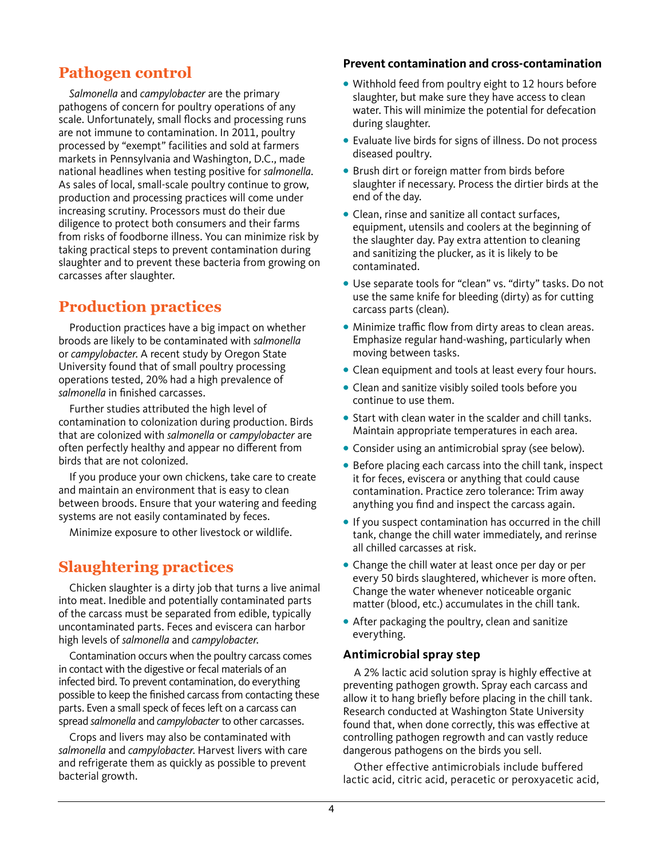# **Pathogen control**

*Salmonella* and *campylobacter* are the primary pathogens of concern for poultry operations of any scale. Unfortunately, small flocks and processing runs are not immune to contamination. In 2011, poultry processed by "exempt" facilities and sold at farmers markets in Pennsylvania and Washington, D.C., made national headlines when testing positive for *salmonella*. As sales of local, small-scale poultry continue to grow, production and processing practices will come under increasing scrutiny. Processors must do their due diligence to protect both consumers and their farms from risks of foodborne illness. You can minimize risk by taking practical steps to prevent contamination during slaughter and to prevent these bacteria from growing on carcasses after slaughter.

# **Production practices**

Production practices have a big impact on whether broods are likely to be contaminated with *salmonella* or *campylobacter*. A recent study by Oregon State University found that of small poultry processing operations tested, 20% had a high prevalence of *salmonella* in finished carcasses.

Further studies attributed the high level of contamination to colonization during production. Birds that are colonized with *salmonella* or *campylobacter* are often perfectly healthy and appear no different from birds that are not colonized.

If you produce your own chickens, take care to create and maintain an environment that is easy to clean between broods. Ensure that your watering and feeding systems are not easily contaminated by feces.

Minimize exposure to other livestock or wildlife.

# **Slaughtering practices**

Chicken slaughter is a dirty job that turns a live animal into meat. Inedible and potentially contaminated parts of the carcass must be separated from edible, typically uncontaminated parts. Feces and eviscera can harbor high levels of *salmonella* and *campylobacter*.

Contamination occurs when the poultry carcass comes in contact with the digestive or fecal materials of an infected bird. To prevent contamination, do everything possible to keep the finished carcass from contacting these parts. Even a small speck of feces left on a carcass can spread *salmonella* and *campylobacter* to other carcasses.

Crops and livers may also be contaminated with *salmonella* and *campylobacter*. Harvest livers with care and refrigerate them as quickly as possible to prevent bacterial growth.

#### **Prevent contamination and cross-contamination**

- **•** Withhold feed from poultry eight to 12 hours before slaughter, but make sure they have access to clean water. This will minimize the potential for defecation during slaughter.
- **•** Evaluate live birds for signs of illness. Do not process diseased poultry.
- **•** Brush dirt or foreign matter from birds before slaughter if necessary. Process the dirtier birds at the end of the day.
- **•** Clean, rinse and sanitize all contact surfaces, equipment, utensils and coolers at the beginning of the slaughter day. Pay extra attention to cleaning and sanitizing the plucker, as it is likely to be contaminated.
- **•** Use separate tools for "clean" vs. "dirty" tasks. Do not use the same knife for bleeding (dirty) as for cutting carcass parts (clean).
- **•** Minimize traffic flow from dirty areas to clean areas. Emphasize regular hand-washing, particularly when moving between tasks.
- **•** Clean equipment and tools at least every four hours.
- **•** Clean and sanitize visibly soiled tools before you continue to use them.
- **•** Start with clean water in the scalder and chill tanks. Maintain appropriate temperatures in each area.
- **•** Consider using an antimicrobial spray (see below).
- **•** Before placing each carcass into the chill tank, inspect it for feces, eviscera or anything that could cause contamination. Practice zero tolerance: Trim away anything you find and inspect the carcass again.
- **•** If you suspect contamination has occurred in the chill tank, change the chill water immediately, and rerinse all chilled carcasses at risk.
- **•** Change the chill water at least once per day or per every 50 birds slaughtered, whichever is more often. Change the water whenever noticeable organic matter (blood, etc.) accumulates in the chill tank.
- **•** After packaging the poultry, clean and sanitize everything.

#### **Antimicrobial spray step**

A 2% lactic acid solution spray is highly effective at preventing pathogen growth. Spray each carcass and allow it to hang briefly before placing in the chill tank. Research conducted at Washington State University found that, when done correctly, this was effective at controlling pathogen regrowth and can vastly reduce dangerous pathogens on the birds you sell.

Other effective antimicrobials include buffered lactic acid, citric acid, peracetic or peroxyacetic acid,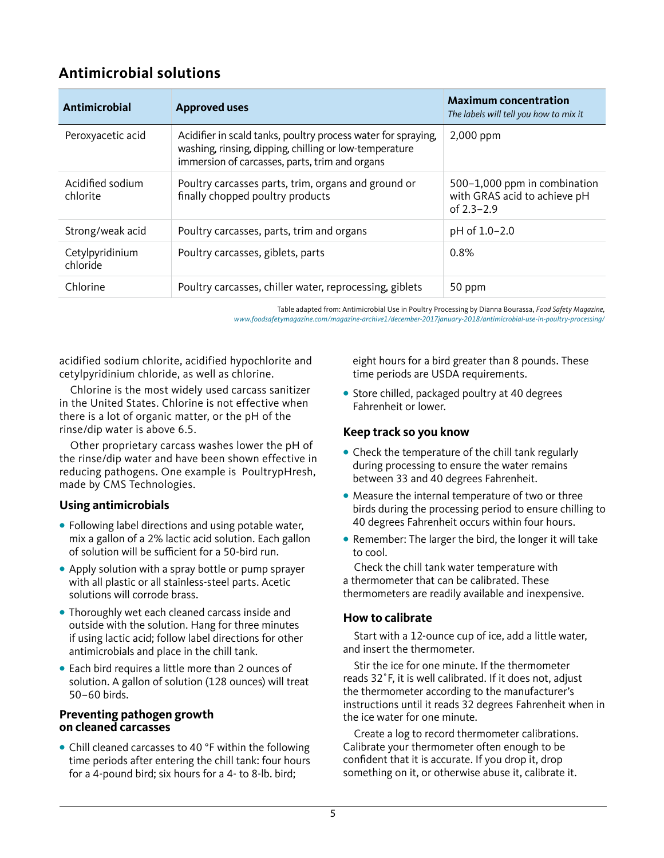## **Antimicrobial solutions**

| Antimicrobial                | <b>Approved uses</b>                                                                                                                                                      | <b>Maximum concentration</b><br>The labels will tell you how to mix it         |
|------------------------------|---------------------------------------------------------------------------------------------------------------------------------------------------------------------------|--------------------------------------------------------------------------------|
| Peroxyacetic acid            | Acidifier in scald tanks, poultry process water for spraying,<br>washing, rinsing, dipping, chilling or low-temperature<br>immersion of carcasses, parts, trim and organs | 2,000 ppm                                                                      |
| Acidified sodium<br>chlorite | Poultry carcasses parts, trim, organs and ground or<br>finally chopped poultry products                                                                                   | 500-1,000 ppm in combination<br>with GRAS acid to achieve pH<br>of $2.3 - 2.9$ |
| Strong/weak acid             | Poultry carcasses, parts, trim and organs                                                                                                                                 | pH of 1.0-2.0                                                                  |
| Cetylpyridinium<br>chloride  | Poultry carcasses, giblets, parts                                                                                                                                         | 0.8%                                                                           |
| Chlorine                     | Poultry carcasses, chiller water, reprocessing, giblets                                                                                                                   | 50 ppm                                                                         |

Table adapted from: Antimicrobial Use in Poultry Processing by Dianna Bourassa, *Food Safety Magazine, www.foodsafetymagazine.com/magazine-archive1/december-2017january-2018/antimicrobial-use-in-poultry-processing/*

acidified sodium chlorite, acidified hypochlorite and cetylpyridinium chloride, as well as chlorine.

Chlorine is the most widely used carcass sanitizer in the United States. Chlorine is not effective when there is a lot of organic matter, or the pH of the rinse/dip water is above 6.5.

Other proprietary carcass washes lower the pH of the rinse/dip water and have been shown effective in reducing pathogens. One example is PoultrypHresh, made by CMS Technologies.

#### **Using antimicrobials**

- **•** Following label directions and using potable water, mix a gallon of a 2% lactic acid solution. Each gallon of solution will be sufficient for a 50-bird run.
- **•** Apply solution with a spray bottle or pump sprayer with all plastic or all stainless-steel parts. Acetic solutions will corrode brass.
- **•** Thoroughly wet each cleaned carcass inside and outside with the solution. Hang for three minutes if using lactic acid; follow label directions for other antimicrobials and place in the chill tank.
- **•** Each bird requires a little more than 2 ounces of solution. A gallon of solution (128 ounces) will treat 50–60 birds.

#### **Preventing pathogen growth on cleaned carcasses**

**•** Chill cleaned carcasses to 40 °F within the following time periods after entering the chill tank: four hours for a 4-pound bird; six hours for a 4- to 8-lb. bird;

eight hours for a bird greater than 8 pounds. These time periods are USDA requirements.

**•** Store chilled, packaged poultry at 40 degrees Fahrenheit or lower.

#### **Keep track so you know**

- **•** Check the temperature of the chill tank regularly during processing to ensure the water remains between 33 and 40 degrees Fahrenheit.
- **•** Measure the internal temperature of two or three birds during the processing period to ensure chilling to 40 degrees Fahrenheit occurs within four hours.
- **•** Remember: The larger the bird, the longer it will take to cool.

Check the chill tank water temperature with a thermometer that can be calibrated. These thermometers are readily available and inexpensive.

#### **How to calibrate**

Start with a 12-ounce cup of ice, add a little water, and insert the thermometer.

Stir the ice for one minute. If the thermometer reads 32˚F, it is well calibrated. If it does not, adjust the thermometer according to the manufacturer's instructions until it reads 32 degrees Fahrenheit when in the ice water for one minute.

Create a log to record thermometer calibrations. Calibrate your thermometer often enough to be confident that it is accurate. If you drop it, drop something on it, or otherwise abuse it, calibrate it.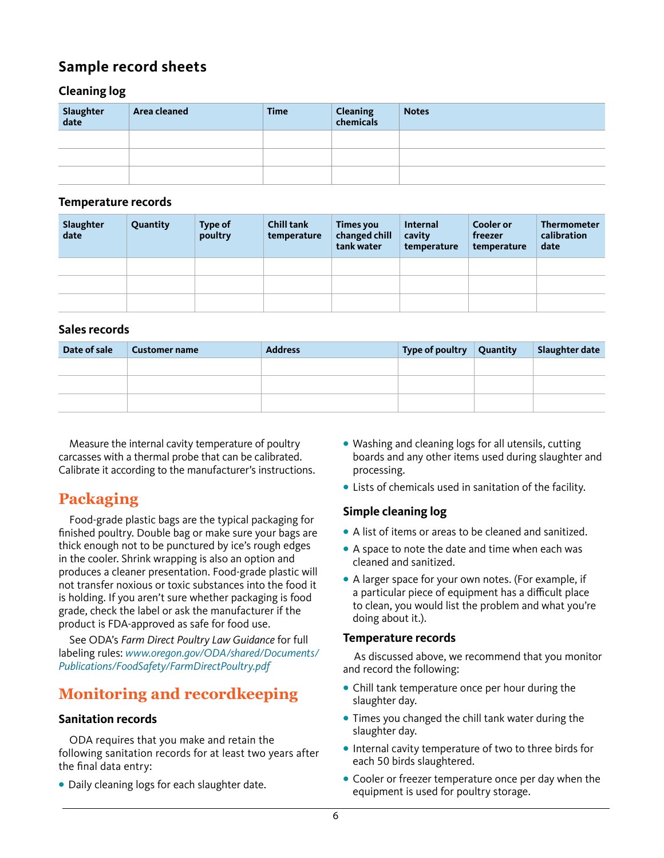# **Sample record sheets**

#### **Cleaning log**

| Slaughter<br>date | Area cleaned | <b>Time</b> | Cleaning<br>chemicals | <b>Notes</b> |
|-------------------|--------------|-------------|-----------------------|--------------|
|                   |              |             |                       |              |
|                   |              |             |                       |              |
|                   |              |             |                       |              |

#### **Temperature records**

| Slaughter<br>date | Quantity | <b>Type of</b><br>poultry | <b>Chill tank</b><br>temperature | <b>Times you</b><br>changed chill<br>tank water | Internal<br>cavity<br>temperature | <b>Cooler or</b><br>freezer<br>temperature | <b>Thermometer</b><br>calibration<br>date |
|-------------------|----------|---------------------------|----------------------------------|-------------------------------------------------|-----------------------------------|--------------------------------------------|-------------------------------------------|
|                   |          |                           |                                  |                                                 |                                   |                                            |                                           |
|                   |          |                           |                                  |                                                 |                                   |                                            |                                           |
|                   |          |                           |                                  |                                                 |                                   |                                            |                                           |

#### **Sales records**

| Date of sale | <b>Customer name</b> | <b>Address</b> | Type of poultry $\vert$ Quantity | Slaughter date |
|--------------|----------------------|----------------|----------------------------------|----------------|
|              |                      |                |                                  |                |
|              |                      |                |                                  |                |
|              |                      |                |                                  |                |

Measure the internal cavity temperature of poultry carcasses with a thermal probe that can be calibrated. Calibrate it according to the manufacturer's instructions.

# **Packaging**

Food-grade plastic bags are the typical packaging for finished poultry. Double bag or make sure your bags are thick enough not to be punctured by ice's rough edges in the cooler. Shrink wrapping is also an option and produces a cleaner presentation. Food-grade plastic will not transfer noxious or toxic substances into the food it is holding. If you aren't sure whether packaging is food grade, check the label or ask the manufacturer if the product is FDA-approved as safe for food use.

See ODA's *Farm Direct Poultry Law Guidance* for full labeling rules: *[www.oregon.gov/ODA/shared/Documents/](https://www.oregon.gov/ODA/shared/Documents/Publications/FoodSafety/FarmDirectPoultry.pdf) [Publications/FoodSafety/FarmDirectPoultry.pdf](https://www.oregon.gov/ODA/shared/Documents/Publications/FoodSafety/FarmDirectPoultry.pdf)*

# **Monitoring and recordkeeping**

#### **Sanitation records**

ODA requires that you make and retain the following sanitation records for at least two years after the final data entry:

**•** Daily cleaning logs for each slaughter date.

- **•** Washing and cleaning logs for all utensils, cutting boards and any other items used during slaughter and processing.
- **•** Lists of chemicals used in sanitation of the facility.

#### **Simple cleaning log**

- **•** A list of items or areas to be cleaned and sanitized.
- **•** A space to note the date and time when each was cleaned and sanitized.
- **•** A larger space for your own notes. (For example, if a particular piece of equipment has a difficult place to clean, you would list the problem and what you're doing about it.).

#### **Temperature records**

As discussed above, we recommend that you monitor and record the following:

- **•** Chill tank temperature once per hour during the slaughter day.
- **•** Times you changed the chill tank water during the slaughter day.
- **•** Internal cavity temperature of two to three birds for each 50 birds slaughtered.
- **•** Cooler or freezer temperature once per day when the equipment is used for poultry storage.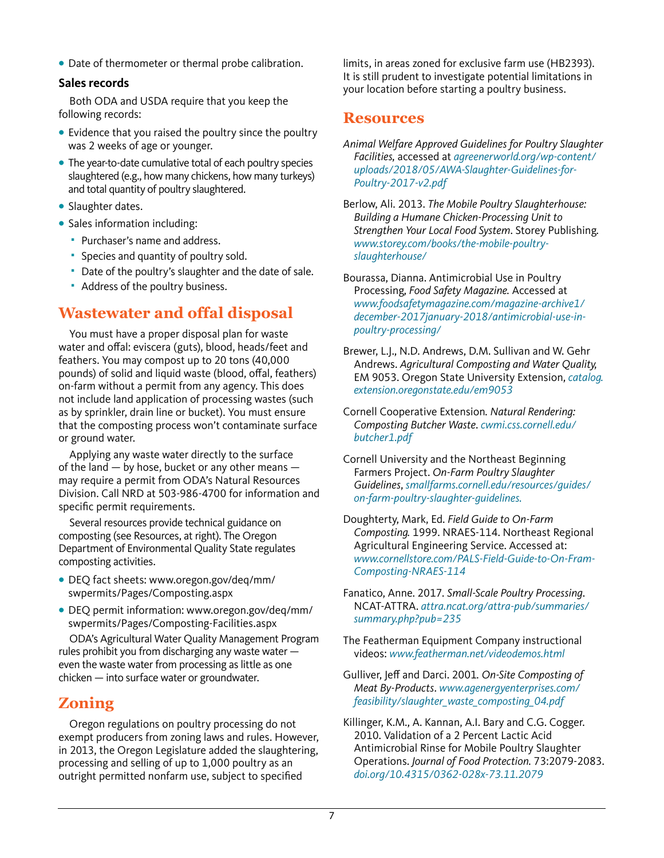**•** Date of thermometer or thermal probe calibration.

#### **Sales records**

Both ODA and USDA require that you keep the following records:

- **•** Evidence that you raised the poultry since the poultry was 2 weeks of age or younger.
- **•** The year-to-date cumulative total of each poultry species slaughtered (e.g., how many chickens, how many turkeys) and total quantity of poultry slaughtered.
- **•** Slaughter dates.
- **•** Sales information including:
	- **Purchaser's name and address.**
	- Species and quantity of poultry sold.
	- Date of the poultry's slaughter and the date of sale.
	- Address of the poultry business.

## **Wastewater and offal disposal**

You must have a proper disposal plan for waste water and offal: eviscera (guts), blood, heads/feet and feathers. You may compost up to 20 tons (40,000 pounds) of solid and liquid waste (blood, offal, feathers) on-farm without a permit from any agency. This does not include land application of processing wastes (such as by sprinkler, drain line or bucket). You must ensure that the composting process won't contaminate surface or ground water.

Applying any waste water directly to the surface of the land — by hose, bucket or any other means may require a permit from ODA's Natural Resources Division. Call NRD at 503-986-4700 for information and specific permit requirements.

Several resources provide technical guidance on composting (see Resources, at right). The Oregon Department of Environmental Quality State regulates composting activities.

- **•** DEQ fact sheets: www.oregon.gov/deq/mm/ swpermits/Pages/Composting.aspx
- **•** DEQ permit information: www.oregon.gov/deq/mm/ swpermits/Pages/Composting-Facilities.aspx

ODA's Agricultural Water Quality Management Program rules prohibit you from discharging any waste water even the waste water from processing as little as one chicken — into surface water or groundwater.

# **Zoning**

Oregon regulations on poultry processing do not exempt producers from zoning laws and rules. However, in 2013, the Oregon Legislature added the slaughtering, processing and selling of up to 1,000 poultry as an outright permitted nonfarm use, subject to specified

limits, in areas zoned for exclusive farm use (HB2393). It is still prudent to investigate potential limitations in your location before starting a poultry business.

## **Resources**

*Animal Welfare Approved Guidelines for Poultry Slaughter Facilities,* accessed at *agreenerworld.org/wp-content/ uploads/2018/05/AWA-Slaughter-Guidelines-for-Poultry-2017-v2.pdf*

Berlow, Ali. 2013. *The Mobile Poultry Slaughterhouse: Building a Humane Chicken-Processing Unit to Strengthen Your Local Food System*. Storey Publishing. *www.storey.com/books/the-mobile-poultryslaughterhouse/*

Bourassa, Dianna. Antimicrobial Use in Poultry Processing, *Food Safety Magazine.* Accessed at *www.foodsafetymagazine.com/magazine-archive1/ december-2017january-2018/antimicrobial-use-inpoultry-processing/*

- Brewer, L.J., N.D. Andrews, D.M. Sullivan and W. Gehr Andrews. *Agricultural Composting and Water Quality,*  EM 9053. Oregon State University Extension, *catalog. extension.oregonstate.edu/em9053*
- Cornell Cooperative Extension*. Natural Rendering: Composting Butcher Waste*. *cwmi.css.cornell.edu/ butcher1.pdf*
- Cornell University and the Northeast Beginning Farmers Project. *On-Farm Poultry Slaughter Guidelines*, *smallfarms.cornell.edu/resources/guides/ on-farm-poultry-slaughter-guidelines.*
- Doughterty, Mark, Ed. *Field Guide to On-Farm Composting.* 1999. NRAES-114. Northeast Regional Agricultural Engineering Service. Accessed at: *www.cornellstore.com/PALS-Field-Guide-to-On-Fram-Composting-NRAES-114*
- Fanatico, Anne. 2017*. Small-Scale Poultry Processing*. NCAT-ATTRA. *attra.ncat.org/attra-pub/summaries/ summary.php?pub=235*
- The Featherman Equipment Company instructional videos: *www.featherman.net/videodemos.html*
- Gulliver, Jeff and Darci. 2001*. On-Site Composting of Meat By-Products*. *[www.agenergyenterprises.com/](http://www.agenergyenterprises.com/feasibility/slaughter_waste_composting_04.pdf) [feasibility/slaughter\\_waste\\_composting\\_04.pdf](http://www.agenergyenterprises.com/feasibility/slaughter_waste_composting_04.pdf)*

Killinger, K.M., A. Kannan, A.I. Bary and C.G. Cogger. 2010. [Validation of a 2 Percent Lactic Acid](https://s3.wp.wsu.edu/uploads/sites/411/2019/02/Paper_Poultry_Rinse_Killinger.pdf)  [Antimicrobial Rinse for Mobile Poultry Slaughter](https://s3.wp.wsu.edu/uploads/sites/411/2019/02/Paper_Poultry_Rinse_Killinger.pdf)  [Operations](https://s3.wp.wsu.edu/uploads/sites/411/2019/02/Paper_Poultry_Rinse_Killinger.pdf). *Journal of Food Protection.* 73:2079-2083. *doi.org[/10.4315/0362-028x-73.11.2079](https://doi.org/10.4315/0362-028x-73.11.2079)*